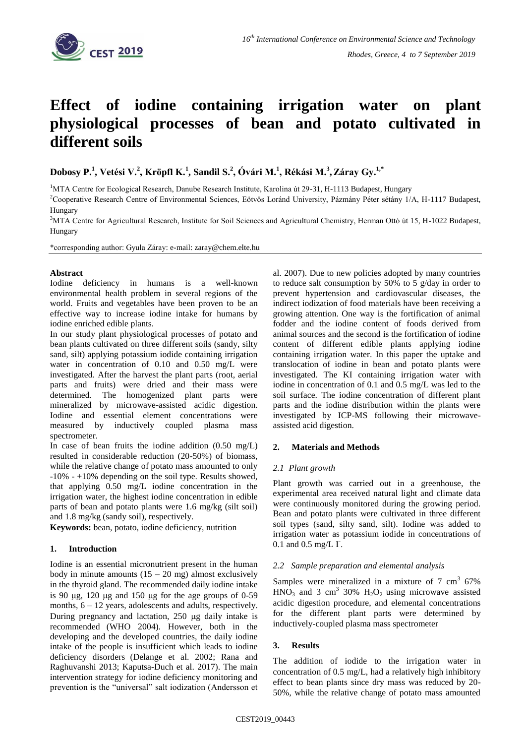

# **Effect of iodine containing irrigation water on plant physiological processes of bean and potato cultivated in different soils**

**Dobosy P.<sup>1</sup> , Vetési V.<sup>2</sup> , Kröpfl K.<sup>1</sup> , Sandil S.<sup>2</sup> , Óvári M.<sup>1</sup> , Rékási M.<sup>3</sup> ,Záray Gy.1,\***

<sup>1</sup>MTA Centre for Ecological Research, Danube Research Institute, Karolina út 29-31, H-1113 Budapest, Hungary

<sup>2</sup>Cooperative Research Centre of Environmental Sciences, Eötvös Loránd University, Pázmány Péter sétány 1/A, H-1117 Budapest, Hungary

<sup>3</sup>MTA Centre for Agricultural Research, Institute for Soil Sciences and Agricultural Chemistry, Herman Ottó út 15, H-1022 Budapest, Hungary

\*corresponding author: Gyula Záray: e-mail: zaray@chem.elte.hu

### **Abstract**

Iodine deficiency in humans is a well-known environmental health problem in several regions of the world. Fruits and vegetables have been proven to be an effective way to increase iodine intake for humans by iodine enriched edible plants.

In our study plant physiological processes of potato and bean plants cultivated on three different soils (sandy, silty sand, silt) applying potassium iodide containing irrigation water in concentration of 0.10 and 0.50 mg/L were investigated. After the harvest the plant parts (root, aerial parts and fruits) were dried and their mass were determined. The homogenized plant parts were mineralized by microwave-assisted acidic digestion. Iodine and essential element concentrations were measured by inductively coupled plasma mass spectrometer.

In case of bean fruits the iodine addition  $(0.50 \text{ mg/L})$ resulted in considerable reduction (20-50%) of biomass, while the relative change of potato mass amounted to only -10% - +10% depending on the soil type. Results showed, that applying 0.50 mg/L iodine concentration in the irrigation water, the highest iodine concentration in edible parts of bean and potato plants were 1.6 mg/kg (silt soil) and 1.8 mg/kg (sandy soil), respectively.

**Keywords:** bean, potato, iodine deficiency, nutrition

# **1. Introduction**

Iodine is an essential micronutrient present in the human body in minute amounts  $(15 - 20$  mg) almost exclusively in the thyroid gland. The recommended daily iodine intake is 90  $\mu$ g, 120  $\mu$ g and 150  $\mu$ g for the age groups of 0-59 months,  $6 - 12$  years, adolescents and adults, respectively. During pregnancy and lactation,  $250 \text{ µg}$  daily intake is recommended (WHO 2004). However, both in the developing and the developed countries, the daily iodine intake of the people is insufficient which leads to iodine deficiency disorders (Delange et al. 2002; Rana and Raghuvanshi 2013; Kaputsa-Duch et al. 2017). The main intervention strategy for iodine deficiency monitoring and prevention is the "universal" salt iodization (Andersson et

al. 2007). Due to new policies adopted by many countries to reduce salt consumption by 50% to 5 g/day in order to prevent hypertension and cardiovascular diseases, the indirect iodization of food materials have been receiving a growing attention. One way is the fortification of animal fodder and the iodine content of foods derived from animal sources and the second is the fortification of iodine content of different edible plants applying iodine containing irrigation water. In this paper the uptake and translocation of iodine in bean and potato plants were investigated. The KI containing irrigation water with iodine in concentration of 0.1 and 0.5 mg/L was led to the soil surface. The iodine concentration of different plant parts and the iodine distribution within the plants were investigated by ICP-MS following their microwaveassisted acid digestion.

# **2. Materials and Methods**

# *2.1 Plant growth*

Plant growth was carried out in a greenhouse, the experimental area received natural light and climate data were continuously monitored during the growing period. Bean and potato plants were cultivated in three different soil types (sand, silty sand, silt). Iodine was added to irrigation water as potassium iodide in concentrations of  $0.1$  and  $0.5$  mg/L  $\Gamma$ .

#### *2.2 Sample preparation and elemental analysis*

Samples were mineralized in a mixture of  $7 \text{ cm}^3$  67%  $HNO<sub>3</sub>$  and 3 cm<sup>3</sup> 30%  $H<sub>2</sub>O<sub>2</sub>$  using microwave assisted acidic digestion procedure, and elemental concentrations for the different plant parts were determined by inductively-coupled plasma mass spectrometer

#### **3. Results**

The addition of iodide to the irrigation water in concentration of 0.5 mg/L, had a relatively high inhibitory effect to bean plants since dry mass was reduced by 20- 50%, while the relative change of potato mass amounted